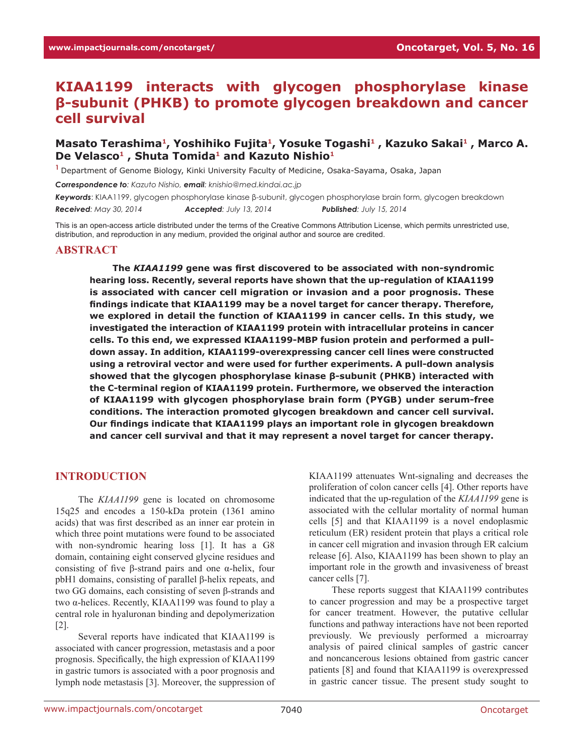# **KIAA1199 interacts with glycogen phosphorylase kinase β-subunit (PHKB) to promote glycogen breakdown and cancer cell survival**

### Masato Terashima<sup>1</sup>, Yoshihiko Fujita<sup>1</sup>, Yosuke Togashi<sup>1</sup>, Kazuko Sakai<sup>1</sup>, Marco A. **De Velasco1 , Shuta Tomida<sup>1</sup> and Kazuto Nishio<sup>1</sup>**

**<sup>1</sup>**Department of Genome Biology, Kinki University Faculty of Medicine, Osaka-Sayama, Osaka, Japan

*Correspondence to: Kazuto Nishio, email: knishio@med.kindai.ac.jp*

*Keywords*: KIAA1199, glycogen phosphorylase kinase β-subunit, glycogen phosphorylase brain form, glycogen breakdown

*Received: May 30, 2014 Accepted: July 13, 2014 Published: July 15, 2014*

This is an open-access article distributed under the terms of the Creative Commons Attribution License, which permits unrestricted use, distribution, and reproduction in any medium, provided the original author and source are credited.

#### **ABSTRACT**

**The** *KIAA1199* **gene was first discovered to be associated with non-syndromic hearing loss. Recently, several reports have shown that the up-regulation of KIAA1199 is associated with cancer cell migration or invasion and a poor prognosis. These findings indicate that KIAA1199 may be a novel target for cancer therapy. Therefore, we explored in detail the function of KIAA1199 in cancer cells. In this study, we investigated the interaction of KIAA1199 protein with intracellular proteins in cancer cells. To this end, we expressed KIAA1199-MBP fusion protein and performed a pulldown assay. In addition, KIAA1199-overexpressing cancer cell lines were constructed using a retroviral vector and were used for further experiments. A pull-down analysis showed that the glycogen phosphorylase kinase β-subunit (PHKB) interacted with the C-terminal region of KIAA1199 protein. Furthermore, we observed the interaction of KIAA1199 with glycogen phosphorylase brain form (PYGB) under serum-free conditions. The interaction promoted glycogen breakdown and cancer cell survival. Our findings indicate that KIAA1199 plays an important role in glycogen breakdown and cancer cell survival and that it may represent a novel target for cancer therapy.**

### **INTRODUCTION**

The *KIAA1199* gene is located on chromosome 15q25 and encodes a 150-kDa protein (1361 amino acids) that was first described as an inner ear protein in which three point mutations were found to be associated with non-syndromic hearing loss [1]. It has a G8 domain, containing eight conserved glycine residues and consisting of five β-strand pairs and one α-helix, four pbH1 domains, consisting of parallel β-helix repeats, and two GG domains, each consisting of seven β-strands and two α-helices. Recently, KIAA1199 was found to play a central role in hyaluronan binding and depolymerization [2].

Several reports have indicated that KIAA1199 is associated with cancer progression, metastasis and a poor prognosis. Specifically, the high expression of KIAA1199 in gastric tumors is associated with a poor prognosis and lymph node metastasis [3]. Moreover, the suppression of KIAA1199 attenuates Wnt-signaling and decreases the proliferation of colon cancer cells [4]. Other reports have indicated that the up-regulation of the *KIAA1199* gene is associated with the cellular mortality of normal human cells [5] and that KIAA1199 is a novel endoplasmic reticulum (ER) resident protein that plays a critical role in cancer cell migration and invasion through ER calcium release [6]. Also, KIAA1199 has been shown to play an important role in the growth and invasiveness of breast cancer cells [7].

These reports suggest that KIAA1199 contributes to cancer progression and may be a prospective target for cancer treatment. However, the putative cellular functions and pathway interactions have not been reported previously. We previously performed a microarray analysis of paired clinical samples of gastric cancer and noncancerous lesions obtained from gastric cancer patients [8] and found that KIAA1199 is overexpressed in gastric cancer tissue. The present study sought to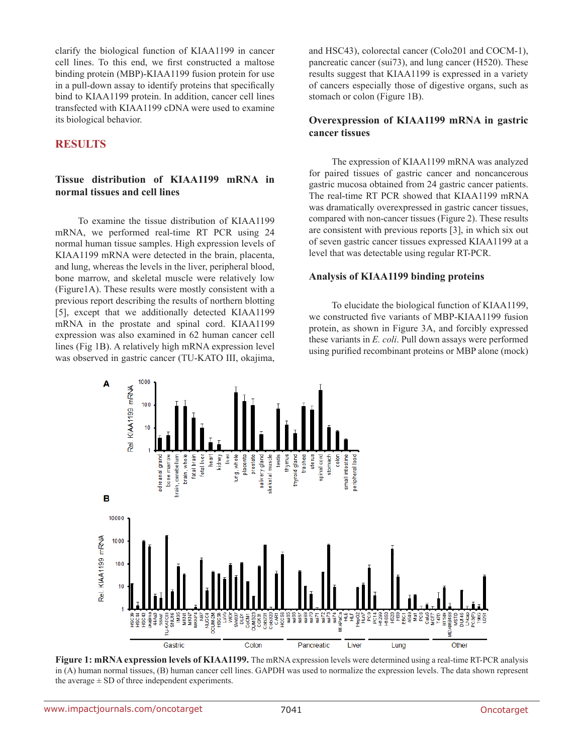clarify the biological function of KIAA1199 in cancer cell lines. To this end, we first constructed a maltose binding protein (MBP)-KIAA1199 fusion protein for use in a pull-down assay to identify proteins that specifically bind to KIAA1199 protein. In addition, cancer cell lines transfected with KIAA1199 cDNA were used to examine its biological behavior.

### **RESULTS**

### **Tissue distribution of KIAA1199 mRNA in normal tissues and cell lines**

To examine the tissue distribution of KIAA1199 mRNA, we performed real-time RT PCR using 24 normal human tissue samples. High expression levels of KIAA1199 mRNA were detected in the brain, placenta, and lung, whereas the levels in the liver, peripheral blood, bone marrow, and skeletal muscle were relatively low (Figure1A). These results were mostly consistent with a previous report describing the results of northern blotting [5], except that we additionally detected KIAA1199 mRNA in the prostate and spinal cord. KIAA1199 expression was also examined in 62 human cancer cell lines (Fig 1B). A relatively high mRNA expression level was observed in gastric cancer (TU-KATO III, okajima,

and HSC43), colorectal cancer (Colo201 and COCM-1), pancreatic cancer (sui73), and lung cancer (H520). These results suggest that KIAA1199 is expressed in a variety of cancers especially those of digestive organs, such as stomach or colon (Figure 1B).

#### **Overexpression of KIAA1199 mRNA in gastric cancer tissues**

The expression of KIAA1199 mRNA was analyzed for paired tissues of gastric cancer and noncancerous gastric mucosa obtained from 24 gastric cancer patients. The real-time RT PCR showed that KIAA1199 mRNA was dramatically overexpressed in gastric cancer tissues, compared with non-cancer tissues (Figure 2). These results are consistent with previous reports [3], in which six out of seven gastric cancer tissues expressed KIAA1199 at a level that was detectable using regular RT-PCR.

#### **Analysis of KIAA1199 binding proteins**

To elucidate the biological function of KIAA1199, we constructed five variants of MBP-KIAA1199 fusion protein, as shown in Figure 3A, and forcibly expressed these variants in *E. coli*. Pull down assays were performed using purified recombinant proteins or MBP alone (mock)



**Figure 1: mRNA expression levels of KIAA1199.** The mRNA expression levels were determined using a real-time RT-PCR analysis in (A) human normal tissues, (B) human cancer cell lines. GAPDH was used to normalize the expression levels. The data shown represent the average  $\pm$  SD of three independent experiments.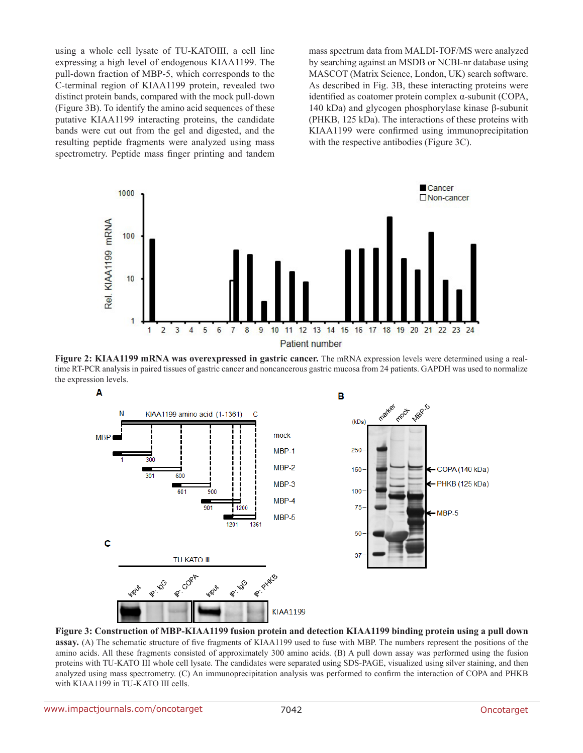using a whole cell lysate of TU-KATOIII, a cell line expressing a high level of endogenous KIAA1199. The pull-down fraction of MBP-5, which corresponds to the C-terminal region of KIAA1199 protein, revealed two distinct protein bands, compared with the mock pull-down (Figure 3B). To identify the amino acid sequences of these putative KIAA1199 interacting proteins, the candidate bands were cut out from the gel and digested, and the resulting peptide fragments were analyzed using mass spectrometry. Peptide mass finger printing and tandem

mass spectrum data from MALDI-TOF/MS were analyzed by searching against an MSDB or NCBI-nr database using MASCOT (Matrix Science, London, UK) search software. As described in Fig. 3B, these interacting proteins were identified as coatomer protein complex α-subunit (COPA, 140 kDa) and glycogen phosphorylase kinase β-subunit (PHKB, 125 kDa). The interactions of these proteins with KIAA1199 were confirmed using immunoprecipitation with the respective antibodies (Figure 3C).



**Figure 2: KIAA1199 mRNA was overexpressed in gastric cancer.** The mRNA expression levels were determined using a realtime RT-PCR analysis in paired tissues of gastric cancer and noncancerous gastric mucosa from 24 patients. GAPDH was used to normalize the expression levels.



**Figure 3: Construction of MBP-KIAA1199 fusion protein and detection KIAA1199 binding protein using a pull down assay.** (A) The schematic structure of five fragments of KIAA1199 used to fuse with MBP. The numbers represent the positions of the amino acids. All these fragments consisted of approximately 300 amino acids. (B) A pull down assay was performed using the fusion proteins with TU-KATO III whole cell lysate. The candidates were separated using SDS-PAGE, visualized using silver staining, and then analyzed using mass spectrometry. (C) An immunoprecipitation analysis was performed to confirm the interaction of COPA and PHKB with KIAA1199 in TU-KATO III cells.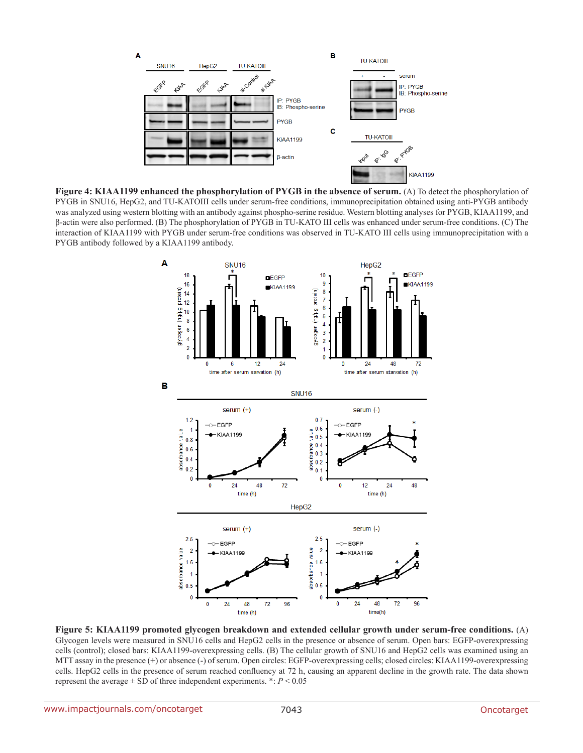

**Figure 4: KIAA1199 enhanced the phosphorylation of PYGB in the absence of serum.** (A) To detect the phosphorylation of PYGB in SNU16, HepG2, and TU-KATOIII cells under serum-free conditions, immunoprecipitation obtained using anti-PYGB antibody was analyzed using western blotting with an antibody against phospho-serine residue. Western blotting analyses for PYGB, KIAA1199, and β-actin were also performed. (B) The phosphorylation of PYGB in TU-KATO III cells was enhanced under serum-free conditions. (C) The interaction of KIAA1199 with PYGB under serum-free conditions was observed in TU-KATO III cells using immunoprecipitation with a PYGB antibody followed by a KIAA1199 antibody.



**Figure 5: KIAA1199 promoted glycogen breakdown and extended cellular growth under serum-free conditions.** (A) Glycogen levels were measured in SNU16 cells and HepG2 cells in the presence or absence of serum. Open bars: EGFP-overexpressing cells (control); closed bars: KIAA1199-overexpressing cells. (B) The cellular growth of SNU16 and HepG2 cells was examined using an MTT assay in the presence (+) or absence (-) of serum. Open circles: EGFP-overexpressing cells; closed circles: KIAA1199-overexpressing cells. HepG2 cells in the presence of serum reached confluency at 72 h, causing an apparent decline in the growth rate. The data shown represent the average  $\pm$  SD of three independent experiments. \*:  $P$  < 0.05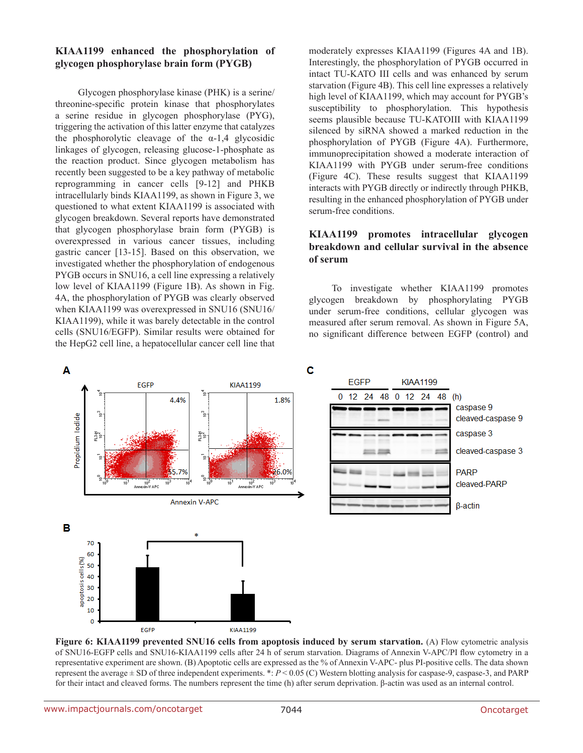### **KIAA1199 enhanced the phosphorylation of glycogen phosphorylase brain form (PYGB)**

Glycogen phosphorylase kinase (PHK) is a serine/ threonine-specific protein kinase that phosphorylates a serine residue in glycogen phosphorylase (PYG), triggering the activation of this latter enzyme that catalyzes the phosphorolytic cleavage of the  $\alpha$ -1,4 glycosidic linkages of glycogen, releasing glucose-1-phosphate as the reaction product. Since glycogen metabolism has recently been suggested to be a key pathway of metabolic reprogramming in cancer cells [9-12] and PHKB intracellularly binds KIAA1199, as shown in Figure 3, we questioned to what extent KIAA1199 is associated with glycogen breakdown. Several reports have demonstrated that glycogen phosphorylase brain form (PYGB) is overexpressed in various cancer tissues, including gastric cancer [13-15]. Based on this observation, we investigated whether the phosphorylation of endogenous PYGB occurs in SNU16, a cell line expressing a relatively low level of KIAA1199 (Figure 1B). As shown in Fig. 4A, the phosphorylation of PYGB was clearly observed when KIAA1199 was overexpressed in SNU16 (SNU16/ KIAA1199), while it was barely detectable in the control cells (SNU16/EGFP). Similar results were obtained for the HepG2 cell line, a hepatocellular cancer cell line that

moderately expresses KIAA1199 (Figures 4A and 1B). Interestingly, the phosphorylation of PYGB occurred in intact TU-KATO III cells and was enhanced by serum starvation (Figure 4B). This cell line expresses a relatively high level of KIAA1199, which may account for PYGB's susceptibility to phosphorylation. This hypothesis seems plausible because TU-KATOIII with KIAA1199 silenced by siRNA showed a marked reduction in the phosphorylation of PYGB (Figure 4A). Furthermore, immunoprecipitation showed a moderate interaction of KIAA1199 with PYGB under serum-free conditions (Figure 4C). These results suggest that KIAA1199 interacts with PYGB directly or indirectly through PHKB, resulting in the enhanced phosphorylation of PYGB under serum-free conditions.

### **KIAA1199 promotes intracellular glycogen breakdown and cellular survival in the absence of serum**

To investigate whether KIAA1199 promotes glycogen breakdown by phosphorylating PYGB under serum-free conditions, cellular glycogen was measured after serum removal. As shown in Figure 5A, no significant difference between EGFP (control) and



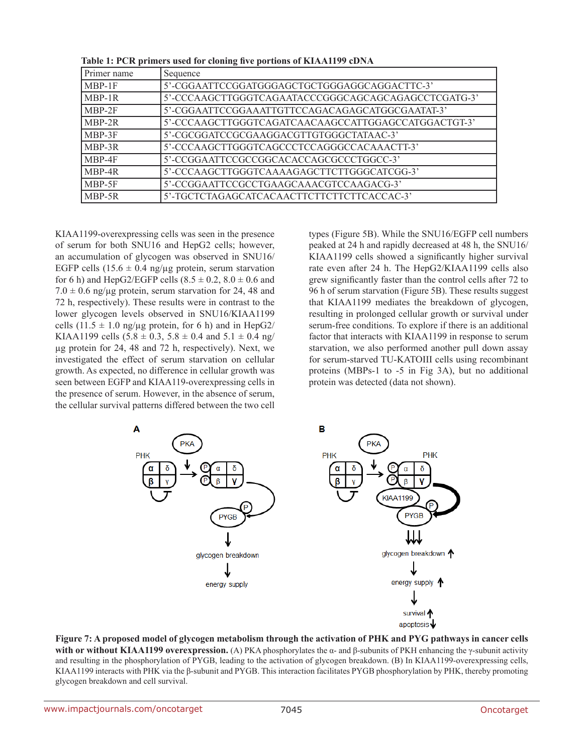| Primer name | Sequence                                            |
|-------------|-----------------------------------------------------|
| MBP-1F      | 5'-CGGAATTCCGGATGGGAGCTGCTGGGAGGCAGGACTTC-3'        |
| MBP-1R      | 5'-CCCAAGCTTGGGTCAGAATACCCGGGCAGCAGCAGAGCCTCGATG-3' |
| MBP-2F      | 5'-CGGAATTCCGGAAATTGTTCCAGACAGAGCATGGCGAATAT-3'     |
| $MBP-2R$    | 5'-CCCAAGCTTGGGTCAGATCAACAAGCCATTGGAGCCATGGACTGT-3' |
| MBP-3F      | 5'-CGCGGATCCGCGAAGGACGTTGTGGGCTATAAC-3'             |
| MBP-3R      | 5'-CCCAAGCTTGGGTCAGCCCTCCAGGGCCACAAACTT-3'          |
| MBP-4F      | 5'-CCGGAATTCCGCCGGCACACCAGCGCCCTGGCC-3'             |
| MBP-4R      | 5'-CCCAAGCTTGGGTCAAAAGAGCTTCTTGGGCATCGG-3'          |
| MBP-5F      | 5'-CCGGAATTCCGCCTGAAGCAAACGTCCAAGACG-3'             |
| MBP-5R      | 5'-TGCTCTAGAGCATCACAACTTCTTCTTCTTCACCAC-3'          |

**Table 1: PCR primers used for cloning five portions of KIAA1199 cDNA**

KIAA1199-overexpressing cells was seen in the presence of serum for both SNU16 and HepG2 cells; however, an accumulation of glycogen was observed in SNU16/ EGFP cells  $(15.6 \pm 0.4 \text{ ng}/\text{ug}$  protein, serum starvation for 6 h) and HepG2/EGFP cells  $(8.5 \pm 0.2, 8.0 \pm 0.6$  and  $7.0 \pm 0.6$  ng/ $\mu$ g protein, serum starvation for 24, 48 and 72 h, respectively). These results were in contrast to the lower glycogen levels observed in SNU16/KIAA1199 cells (11.5  $\pm$  1.0 ng/µg protein, for 6 h) and in HepG2/ KIAA1199 cells  $(5.8 \pm 0.3, 5.8 \pm 0.4 \text{ and } 5.1 \pm 0.4 \text{ ng/}$ µg protein for 24, 48 and 72 h, respectively). Next, we investigated the effect of serum starvation on cellular growth. As expected, no difference in cellular growth was seen between EGFP and KIAA119-overexpressing cells in the presence of serum. However, in the absence of serum, the cellular survival patterns differed between the two cell types (Figure 5B). While the SNU16/EGFP cell numbers peaked at 24 h and rapidly decreased at 48 h, the SNU16/ KIAA1199 cells showed a significantly higher survival rate even after 24 h. The HepG2/KIAA1199 cells also grew significantly faster than the control cells after 72 to 96 h of serum starvation (Figure 5B). These results suggest that KIAA1199 mediates the breakdown of glycogen, resulting in prolonged cellular growth or survival under serum-free conditions. To explore if there is an additional factor that interacts with KIAA1199 in response to serum starvation, we also performed another pull down assay for serum-starved TU-KATOIII cells using recombinant proteins (MBPs-1 to -5 in Fig 3A), but no additional protein was detected (data not shown).



**Figure 7: A proposed model of glycogen metabolism through the activation of PHK and PYG pathways in cancer cells with or without KIAA1199 overexpression.** (A) PKA phosphorylates the α- and β-subunits of PKH enhancing the γ-subunit activity and resulting in the phosphorylation of PYGB, leading to the activation of glycogen breakdown. (B) In KIAA1199-overexpressing cells, KIAA1199 interacts with PHK via the β-subunit and PYGB. This interaction facilitates PYGB phosphorylation by PHK, thereby promoting glycogen breakdown and cell survival.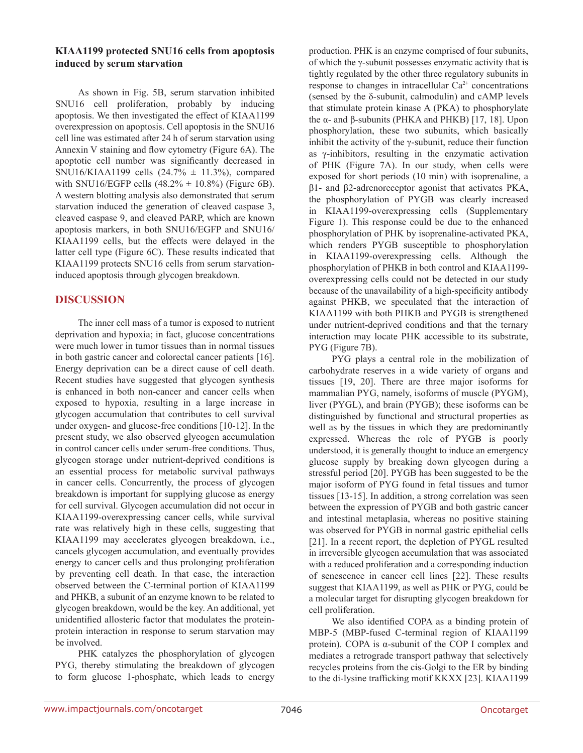#### **KIAA1199 protected SNU16 cells from apoptosis induced by serum starvation**

As shown in Fig. 5B, serum starvation inhibited SNU16 cell proliferation, probably by inducing apoptosis. We then investigated the effect of KIAA1199 overexpression on apoptosis. Cell apoptosis in the SNU16 cell line was estimated after 24 h of serum starvation using Annexin V staining and flow cytometry (Figure 6A). The apoptotic cell number was significantly decreased in SNU16/KIAA1199 cells  $(24.7% \pm 11.3%)$ , compared with SNU16/EGFP cells  $(48.2\% \pm 10.8\%)$  (Figure 6B). A western blotting analysis also demonstrated that serum starvation induced the generation of cleaved caspase 3, cleaved caspase 9, and cleaved PARP, which are known apoptosis markers, in both SNU16/EGFP and SNU16/ KIAA1199 cells, but the effects were delayed in the latter cell type (Figure 6C). These results indicated that KIAA1199 protects SNU16 cells from serum starvationinduced apoptosis through glycogen breakdown.

### **DISCUSSION**

The inner cell mass of a tumor is exposed to nutrient deprivation and hypoxia; in fact, glucose concentrations were much lower in tumor tissues than in normal tissues in both gastric cancer and colorectal cancer patients [16]. Energy deprivation can be a direct cause of cell death. Recent studies have suggested that glycogen synthesis is enhanced in both non-cancer and cancer cells when exposed to hypoxia, resulting in a large increase in glycogen accumulation that contributes to cell survival under oxygen- and glucose-free conditions [10-12]. In the present study, we also observed glycogen accumulation in control cancer cells under serum-free conditions. Thus, glycogen storage under nutrient-deprived conditions is an essential process for metabolic survival pathways in cancer cells. Concurrently, the process of glycogen breakdown is important for supplying glucose as energy for cell survival. Glycogen accumulation did not occur in KIAA1199-overexpressing cancer cells, while survival rate was relatively high in these cells, suggesting that KIAA1199 may accelerates glycogen breakdown, i.e., cancels glycogen accumulation, and eventually provides energy to cancer cells and thus prolonging proliferation by preventing cell death. In that case, the interaction observed between the C-terminal portion of KIAA1199 and PHKB, a subunit of an enzyme known to be related to glycogen breakdown, would be the key. An additional, yet unidentified allosteric factor that modulates the proteinprotein interaction in response to serum starvation may be involved.

PHK catalyzes the phosphorylation of glycogen PYG, thereby stimulating the breakdown of glycogen to form glucose 1-phosphate, which leads to energy production. PHK is an enzyme comprised of four subunits, of which the γ-subunit possesses enzymatic activity that is tightly regulated by the other three regulatory subunits in response to changes in intracellular  $Ca^{2+}$  concentrations (sensed by the δ-subunit, calmodulin) and cAMP levels that stimulate protein kinase A (PKA) to phosphorylate the α- and β-subunits (PHKA and PHKB) [17, 18]. Upon phosphorylation, these two subunits, which basically inhibit the activity of the  $\gamma$ -subunit, reduce their function as γ-inhibitors, resulting in the enzymatic activation of PHK (Figure 7A). In our study, when cells were exposed for short periods (10 min) with isoprenaline, a β1- and β2-adrenoreceptor agonist that activates PKA, the phosphorylation of PYGB was clearly increased in KIAA1199-overexpressing cells (Supplementary Figure 1). This response could be due to the enhanced phosphorylation of PHK by isoprenaline-activated PKA, which renders PYGB susceptible to phosphorylation in KIAA1199-overexpressing cells. Although the phosphorylation of PHKB in both control and KIAA1199 overexpressing cells could not be detected in our study because of the unavailability of a high-specificity antibody against PHKB, we speculated that the interaction of KIAA1199 with both PHKB and PYGB is strengthened under nutrient-deprived conditions and that the ternary interaction may locate PHK accessible to its substrate, PYG (Figure 7B).

PYG plays a central role in the mobilization of carbohydrate reserves in a wide variety of organs and tissues [19, 20]. There are three major isoforms for mammalian PYG, namely, isoforms of muscle (PYGM), liver (PYGL), and brain (PYGB); these isoforms can be distinguished by functional and structural properties as well as by the tissues in which they are predominantly expressed. Whereas the role of PYGB is poorly understood, it is generally thought to induce an emergency glucose supply by breaking down glycogen during a stressful period [20]. PYGB has been suggested to be the major isoform of PYG found in fetal tissues and tumor tissues [13-15]. In addition, a strong correlation was seen between the expression of PYGB and both gastric cancer and intestinal metaplasia, whereas no positive staining was observed for PYGB in normal gastric epithelial cells [21]. In a recent report, the depletion of PYGL resulted in irreversible glycogen accumulation that was associated with a reduced proliferation and a corresponding induction of senescence in cancer cell lines [22]. These results suggest that KIAA1199, as well as PHK or PYG, could be a molecular target for disrupting glycogen breakdown for cell proliferation.

We also identified COPA as a binding protein of MBP-5 (MBP-fused C-terminal region of KIAA1199 protein). COPA is α-subunit of the COP I complex and mediates a retrograde transport pathway that selectively recycles proteins from the cis-Golgi to the ER by binding to the di-lysine trafficking motif KKXX [23]. KIAA1199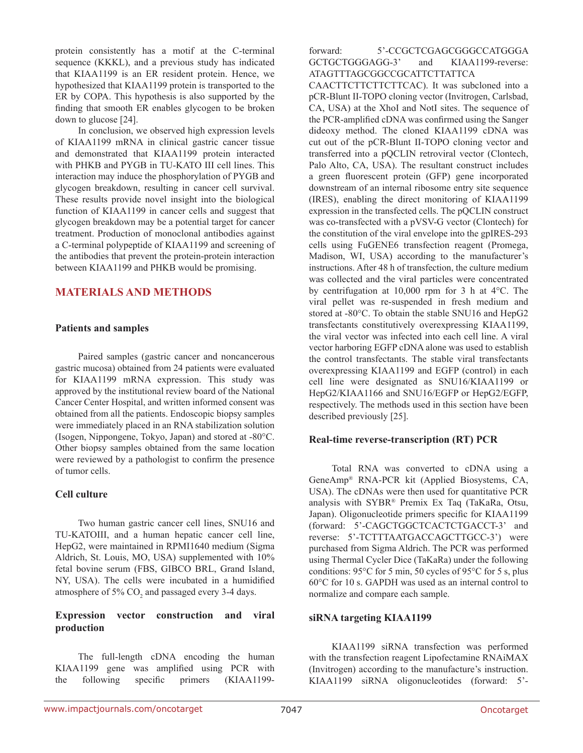protein consistently has a motif at the C-terminal sequence (KKKL), and a previous study has indicated that KIAA1199 is an ER resident protein. Hence, we hypothesized that KIAA1199 protein is transported to the ER by COPA. This hypothesis is also supported by the finding that smooth ER enables glycogen to be broken down to glucose [24].

In conclusion, we observed high expression levels of KIAA1199 mRNA in clinical gastric cancer tissue and demonstrated that KIAA1199 protein interacted with PHKB and PYGB in TU-KATO III cell lines. This interaction may induce the phosphorylation of PYGB and glycogen breakdown, resulting in cancer cell survival. These results provide novel insight into the biological function of KIAA1199 in cancer cells and suggest that glycogen breakdown may be a potential target for cancer treatment. Production of monoclonal antibodies against a C-terminal polypeptide of KIAA1199 and screening of the antibodies that prevent the protein-protein interaction between KIAA1199 and PHKB would be promising.

## **MATERIALS AND METHODS**

#### **Patients and samples**

Paired samples (gastric cancer and noncancerous gastric mucosa) obtained from 24 patients were evaluated for KIAA1199 mRNA expression. This study was approved by the institutional review board of the National Cancer Center Hospital, and written informed consent was obtained from all the patients. Endoscopic biopsy samples were immediately placed in an RNA stabilization solution (Isogen, Nippongene, Tokyo, Japan) and stored at -80°C. Other biopsy samples obtained from the same location were reviewed by a pathologist to confirm the presence of tumor cells.

### **Cell culture**

Two human gastric cancer cell lines, SNU16 and TU-KATOIII, and a human hepatic cancer cell line, HepG2, were maintained in RPMI1640 medium (Sigma Aldrich, St. Louis, MO, USA) supplemented with 10% fetal bovine serum (FBS, GIBCO BRL, Grand Island, NY, USA). The cells were incubated in a humidified atmosphere of 5%  $CO<sub>2</sub>$  and passaged every 3-4 days.

### **Expression vector construction and viral production**

The full-length cDNA encoding the human KIAA1199 gene was amplified using PCR with the following specific primers (KIAA1199forward: 5'-CCGCTCGAGCGGGCCATGGGA GCTGCTGGGAGG-3' and KIAA1199-reverse: ATAGTTTAGCGGCCGCATTCTTATTCA

CAACTTCTTCTTCTTCAC). It was subcloned into a pCR-Blunt II-TOPO cloning vector (Invitrogen, Carlsbad, CA, USA) at the XhoI and NotI sites. The sequence of the PCR-amplified cDNA was confirmed using the Sanger dideoxy method. The cloned KIAA1199 cDNA was cut out of the pCR-Blunt II-TOPO cloning vector and transferred into a pQCLIN retroviral vector (Clontech, Palo Alto, CA, USA). The resultant construct includes a green fluorescent protein (GFP) gene incorporated downstream of an internal ribosome entry site sequence (IRES), enabling the direct monitoring of KIAA1199 expression in the transfected cells. The pQCLIN construct was co-transfected with a pVSV-G vector (Clontech) for the constitution of the viral envelope into the gpIRES-293 cells using FuGENE6 transfection reagent (Promega, Madison, WI, USA) according to the manufacturer's instructions. After 48 h of transfection, the culture medium was collected and the viral particles were concentrated by centrifugation at 10,000 rpm for 3 h at 4°C. The viral pellet was re-suspended in fresh medium and stored at -80°C. To obtain the stable SNU16 and HepG2 transfectants constitutively overexpressing KIAA1199, the viral vector was infected into each cell line. A viral vector harboring EGFP cDNA alone was used to establish the control transfectants. The stable viral transfectants overexpressing KIAA1199 and EGFP (control) in each cell line were designated as SNU16/KIAA1199 or HepG2/KIAA1166 and SNU16/EGFP or HepG2/EGFP, respectively. The methods used in this section have been described previously [25].

### **Real-time reverse-transcription (RT) PCR**

Total RNA was converted to cDNA using a GeneAmp® RNA-PCR kit (Applied Biosystems, CA, USA). The cDNAs were then used for quantitative PCR analysis with SYBR® Premix Ex Taq (TaKaRa, Otsu, Japan). Oligonucleotide primers specific for KIAA1199 (forward: 5'-CAGCTGGCTCACTCTGACCT-3' and reverse: 5'-TCTTTAATGACCAGCTTGCC-3') were purchased from Sigma Aldrich. The PCR was performed using Thermal Cycler Dice (TaKaRa) under the following conditions: 95°C for 5 min, 50 cycles of 95°C for 5 s, plus 60°C for 10 s. GAPDH was used as an internal control to normalize and compare each sample.

#### **siRNA targeting KIAA1199**

KIAA1199 siRNA transfection was performed with the transfection reagent Lipofectamine RNAiMAX (Invitrogen) according to the manufacture's instruction. KIAA1199 siRNA oligonucleotides (forward: 5'-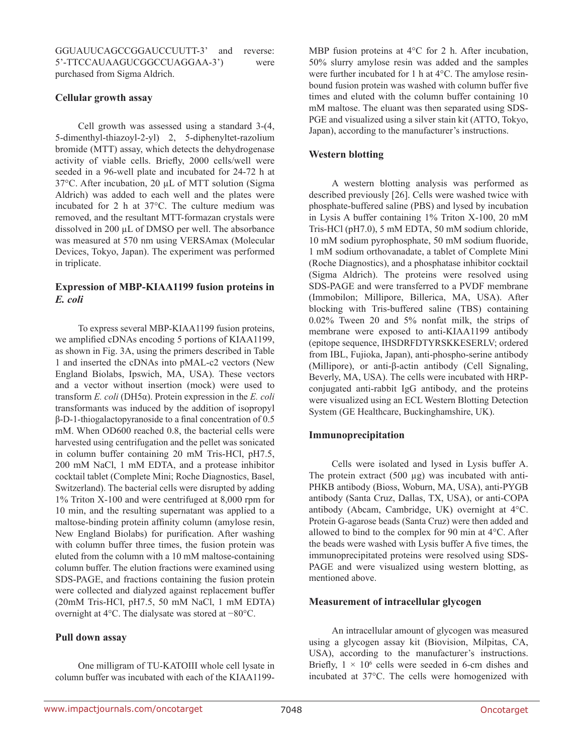GGUAUUCAGCCGGAUCCUUTT-3' and reverse: 5'-TTCCAUAAGUCGGCCUAGGAA-3') were purchased from Sigma Aldrich.

#### **Cellular growth assay**

Cell growth was assessed using a standard 3-(4, 5-dimenthyl-thiazoyl-2-yl) 2, 5-diphenyltet-razolium bromide (MTT) assay, which detects the dehydrogenase activity of viable cells. Briefly, 2000 cells/well were seeded in a 96-well plate and incubated for 24-72 h at 37°C. After incubation, 20 µL of MTT solution (Sigma Aldrich) was added to each well and the plates were incubated for 2 h at 37°C. The culture medium was removed, and the resultant MTT-formazan crystals were dissolved in 200 µL of DMSO per well. The absorbance was measured at 570 nm using VERSAmax (Molecular Devices, Tokyo, Japan). The experiment was performed in triplicate.

#### **Expression of MBP-KIAA1199 fusion proteins in**  *E. coli*

To express several MBP-KIAA1199 fusion proteins, we amplified cDNAs encoding 5 portions of KIAA1199, as shown in Fig. 3A, using the primers described in Table 1 and inserted the cDNAs into pMAL-c2 vectors (New England Biolabs, Ipswich, MA, USA). These vectors and a vector without insertion (mock) were used to transform *E. coli* (DH5α). Protein expression in the *E. coli* transformants was induced by the addition of isopropyl β-D-1-thiogalactopyranoside to a final concentration of 0.5 mM. When OD600 reached 0.8, the bacterial cells were harvested using centrifugation and the pellet was sonicated in column buffer containing 20 mM Tris-HCl, pH7.5, 200 mM NaCl, 1 mM EDTA, and a protease inhibitor cocktail tablet (Complete Mini; Roche Diagnostics, Basel, Switzerland). The bacterial cells were disrupted by adding 1% Triton X-100 and were centrifuged at 8,000 rpm for 10 min, and the resulting supernatant was applied to a maltose-binding protein affinity column (amylose resin, New England Biolabs) for purification. After washing with column buffer three times, the fusion protein was eluted from the column with a 10 mM maltose-containing column buffer. The elution fractions were examined using SDS-PAGE, and fractions containing the fusion protein were collected and dialyzed against replacement buffer (20mM Tris-HCl, pH7.5, 50 mM NaCl, 1 mM EDTA) overnight at 4°C. The dialysate was stored at −80°C.

### **Pull down assay**

One milligram of TU-KATOIII whole cell lysate in column buffer was incubated with each of the KIAA1199MBP fusion proteins at 4°C for 2 h. After incubation, 50% slurry amylose resin was added and the samples were further incubated for 1 h at 4°C. The amylose resinbound fusion protein was washed with column buffer five times and eluted with the column buffer containing 10 mM maltose. The eluant was then separated using SDS-PGE and visualized using a silver stain kit (ATTO, Tokyo, Japan), according to the manufacturer's instructions.

### **Western blotting**

A western blotting analysis was performed as described previously [26]. Cells were washed twice with phosphate-buffered saline (PBS) and lysed by incubation in Lysis A buffer containing 1% Triton X-100, 20 mM Tris-HCl (pH7.0), 5 mM EDTA, 50 mM sodium chloride, 10 mM sodium pyrophosphate, 50 mM sodium fluoride, 1 mM sodium orthovanadate, a tablet of Complete Mini (Roche Diagnostics), and a phosphatase inhibitor cocktail (Sigma Aldrich). The proteins were resolved using SDS-PAGE and were transferred to a PVDF membrane (Immobilon; Millipore, Billerica, MA, USA). After blocking with Tris-buffered saline (TBS) containing 0.02% Tween 20 and 5% nonfat milk, the strips of membrane were exposed to anti-KIAA1199 antibody (epitope sequence, IHSDRFDTYRSKKESERLV; ordered from IBL, Fujioka, Japan), anti-phospho-serine antibody (Millipore), or anti-β-actin antibody (Cell Signaling, Beverly, MA, USA). The cells were incubated with HRPconjugated anti-rabbit IgG antibody, and the proteins were visualized using an ECL Western Blotting Detection System (GE Healthcare, Buckinghamshire, UK).

### **Immunoprecipitation**

Cells were isolated and lysed in Lysis buffer A. The protein extract  $(500 \mu g)$  was incubated with anti-PHKB antibody (Bioss, Woburn, MA, USA), anti-PYGB antibody (Santa Cruz, Dallas, TX, USA), or anti-COPA antibody (Abcam, Cambridge, UK) overnight at 4°C. Protein G-agarose beads (Santa Cruz) were then added and allowed to bind to the complex for 90 min at 4°C. After the beads were washed with Lysis buffer A five times, the immunoprecipitated proteins were resolved using SDS-PAGE and were visualized using western blotting, as mentioned above.

#### **Measurement of intracellular glycogen**

An intracellular amount of glycogen was measured using a glycogen assay kit (Biovision, Milpitas, CA, USA), according to the manufacturer's instructions. Briefly,  $1 \times 10^6$  cells were seeded in 6-cm dishes and incubated at 37°C. The cells were homogenized with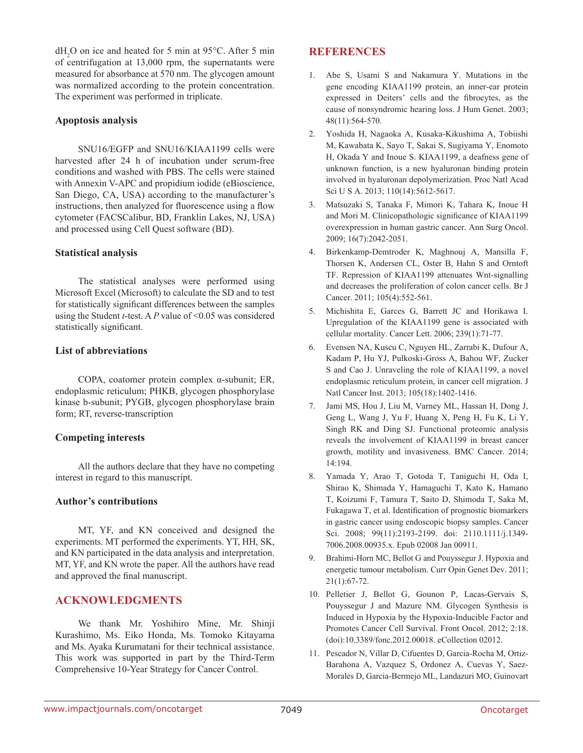$dH_2O$  on ice and heated for 5 min at 95°C. After 5 min of centrifugation at 13,000 rpm, the supernatants were measured for absorbance at 570 nm. The glycogen amount was normalized according to the protein concentration. The experiment was performed in triplicate.

### **Apoptosis analysis**

SNU16/EGFP and SNU16/KIAA1199 cells were harvested after 24 h of incubation under serum-free conditions and washed with PBS. The cells were stained with Annexin V-APC and propidium iodide (eBioscience, San Diego, CA, USA) according to the manufacturer's instructions, then analyzed for fluorescence using a flow cytometer (FACSCalibur, BD, Franklin Lakes, NJ, USA) and processed using Cell Quest software (BD).

### **Statistical analysis**

The statistical analyses were performed using Microsoft Excel (Microsoft) to calculate the SD and to test for statistically significant differences between the samples using the Student *t*-test. A *P* value of <0.05 was considered statistically significant.

### **List of abbreviations**

COPA, coatomer protein complex α-subunit; ER, endoplasmic reticulum; PHKB, glycogen phosphorylase kinase b-subunit; PYGB, glycogen phosphorylase brain form; RT, reverse-transcription

### **Competing interests**

All the authors declare that they have no competing interest in regard to this manuscript.

### **Author's contributions**

MT, YF, and KN conceived and designed the experiments. MT performed the experiments. YT, HH, SK, and KN participated in the data analysis and interpretation. MT, YF, and KN wrote the paper. All the authors have read and approved the final manuscript.

### **ACKNOWLEDGMENTS**

We thank Mr. Yoshihiro Mine, Mr. Shinji Kurashimo, Ms. Eiko Honda, Ms. Tomoko Kitayama and Ms. Ayaka Kurumatani for their technical assistance. This work was supported in part by the Third-Term Comprehensive 10-Year Strategy for Cancer Control.

# **REFERENCES**

- 1. Abe S, Usami S and Nakamura Y. Mutations in the gene encoding KIAA1199 protein, an inner-ear protein expressed in Deiters' cells and the fibrocytes, as the cause of nonsyndromic hearing loss. J Hum Genet. 2003; 48(11):564-570.
- 2. Yoshida H, Nagaoka A, Kusaka-Kikushima A, Tobiishi M, Kawabata K, Sayo T, Sakai S, Sugiyama Y, Enomoto H, Okada Y and Inoue S. KIAA1199, a deafness gene of unknown function, is a new hyaluronan binding protein involved in hyaluronan depolymerization. Proc Natl Acad Sci U S A. 2013; 110(14):5612-5617.
- 3. Matsuzaki S, Tanaka F, Mimori K, Tahara K, Inoue H and Mori M. Clinicopathologic significance of KIAA1199 overexpression in human gastric cancer. Ann Surg Oncol. 2009; 16(7):2042-2051.
- 4. Birkenkamp-Demtroder K, Maghnouj A, Mansilla F, Thorsen K, Andersen CL, Oster B, Hahn S and Orntoft TF. Repression of KIAA1199 attenuates Wnt-signalling and decreases the proliferation of colon cancer cells. Br J Cancer. 2011; 105(4):552-561.
- 5. Michishita E, Garces G, Barrett JC and Horikawa I. Upregulation of the KIAA1199 gene is associated with cellular mortality. Cancer Lett. 2006; 239(1):71-77.
- 6. Evensen NA, Kuscu C, Nguyen HL, Zarrabi K, Dufour A, Kadam P, Hu YJ, Pulkoski-Gross A, Bahou WF, Zucker S and Cao J. Unraveling the role of KIAA1199, a novel endoplasmic reticulum protein, in cancer cell migration. J Natl Cancer Inst. 2013; 105(18):1402-1416.
- 7. Jami MS, Hou J, Liu M, Varney ML, Hassan H, Dong J, Geng L, Wang J, Yu F, Huang X, Peng H, Fu K, Li Y, Singh RK and Ding SJ. Functional proteomic analysis reveals the involvement of KIAA1199 in breast cancer growth, motility and invasiveness. BMC Cancer. 2014; 14:194.
- 8. Yamada Y, Arao T, Gotoda T, Taniguchi H, Oda I, Shirao K, Shimada Y, Hamaguchi T, Kato K, Hamano T, Koizumi F, Tamura T, Saito D, Shimoda T, Saka M, Fukagawa T, et al. Identification of prognostic biomarkers in gastric cancer using endoscopic biopsy samples. Cancer Sci. 2008; 99(11):2193-2199. doi: 2110.1111/j.1349- 7006.2008.00935.x. Epub 02008 Jan 00911.
- 9. Brahimi-Horn MC, Bellot G and Pouyssegur J. Hypoxia and energetic tumour metabolism. Curr Opin Genet Dev. 2011; 21(1):67-72.
- 10. Pelletier J, Bellot G, Gounon P, Lacas-Gervais S, Pouyssegur J and Mazure NM. Glycogen Synthesis is Induced in Hypoxia by the Hypoxia-Inducible Factor and Promotes Cancer Cell Survival. Front Oncol. 2012; 2:18. (doi):10.3389/fonc.2012.00018. eCollection 02012.
- 11. Pescador N, Villar D, Cifuentes D, Garcia-Rocha M, Ortiz-Barahona A, Vazquez S, Ordonez A, Cuevas Y, Saez-Morales D, Garcia-Bermejo ML, Landazuri MO, Guinovart